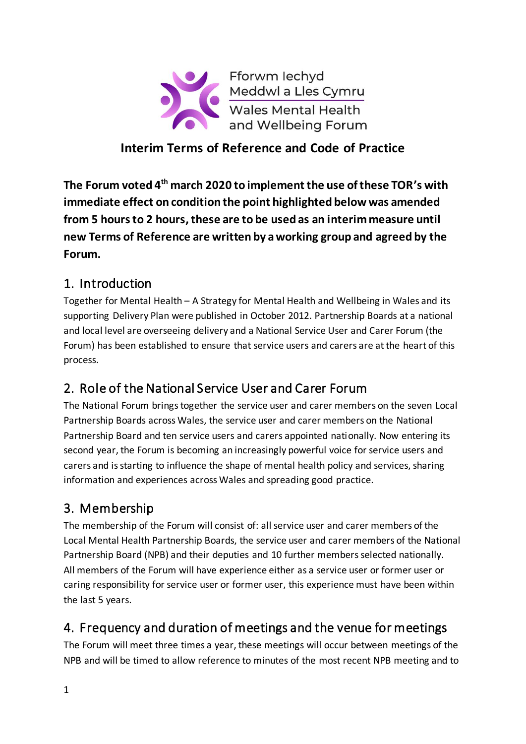

### **Interim Terms of Reference and Code of Practice**

**The Forum voted 4 th march 2020 to implement the use of these TOR's with immediate effect on condition the point highlighted below was amended from 5 hours to 2 hours, these are to be used as an interim measure until new Terms of Reference are written by a working group and agreed by the Forum.** 

### 1. Introduction

Together for Mental Health – A Strategy for Mental Health and Wellbeing in Wales and its supporting Delivery Plan were published in October 2012. Partnership Boards at a national and local level are overseeing delivery and a National Service User and Carer Forum (the Forum) has been established to ensure that service users and carers are at the heart of this process.

# 2. Role of the National Service User and Carer Forum

The National Forum bringstogether the service user and carer members on the seven Local Partnership Boards across Wales, the service user and carer members on the National Partnership Board and ten service users and carers appointed nationally. Now entering its second year, the Forum is becoming an increasingly powerful voice for service users and carers and is starting to influence the shape of mental health policy and services, sharing information and experiences across Wales and spreading good practice.

# 3. Membership

The membership of the Forum will consist of: all service user and carer members of the Local Mental Health Partnership Boards, the service user and carer members of the National Partnership Board (NPB) and their deputies and 10 further members selected nationally. All members of the Forum will have experience either as a service user or former user or caring responsibility for service user or former user, this experience must have been within the last 5 years.

## 4. Frequency and duration of meetings and the venue for meetings

The Forum will meet three times a year, these meetings will occur between meetings of the NPB and will be timed to allow reference to minutes of the most recent NPB meeting and to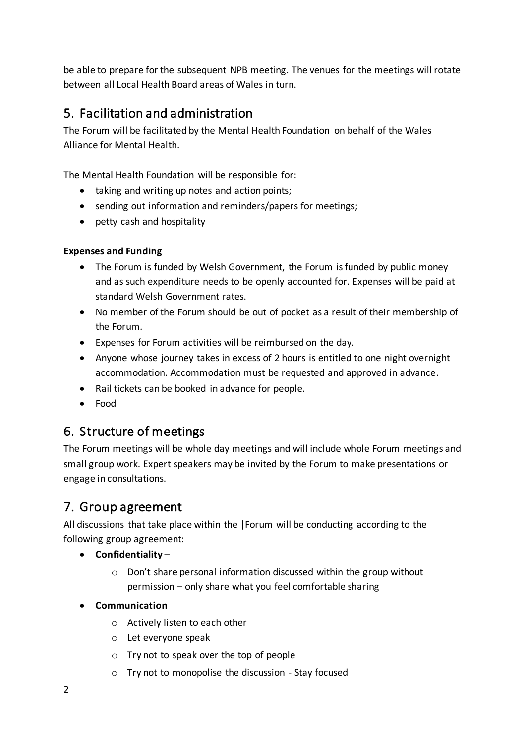be able to prepare for the subsequent NPB meeting. The venues for the meetings will rotate between all Local Health Board areas of Wales in turn.

### 5. Facilitation and administration

The Forum will be facilitated by the Mental Health Foundation on behalf of the Wales Alliance for Mental Health.

The Mental Health Foundation will be responsible for:

- taking and writing up notes and action points;
- sending out information and reminders/papers for meetings;
- petty cash and hospitality

#### **Expenses and Funding**

- The Forum is funded by Welsh Government, the Forum is funded by public money and as such expenditure needs to be openly accounted for. Expenses will be paid at standard Welsh Government rates.
- No member of the Forum should be out of pocket as a result of their membership of the Forum.
- Expenses for Forum activities will be reimbursed on the day.
- Anyone whose journey takes in excess of 2 hours is entitled to one night overnight accommodation. Accommodation must be requested and approved in advance.
- Rail tickets can be booked in advance for people.
- Food

### 6. Structure of meetings

The Forum meetings will be whole day meetings and will include whole Forum meetings and small group work. Expert speakers may be invited by the Forum to make presentations or engage in consultations.

### 7. Group agreement

All discussions that take place within the |Forum will be conducting according to the following group agreement:

- **Confidentiality**
	- o Don't share personal information discussed within the group without permission – only share what you feel comfortable sharing

#### • **Communication**

- o Actively listen to each other
- o Let everyone speak
- o Try not to speak over the top of people
- o Try not to monopolise the discussion Stay focused